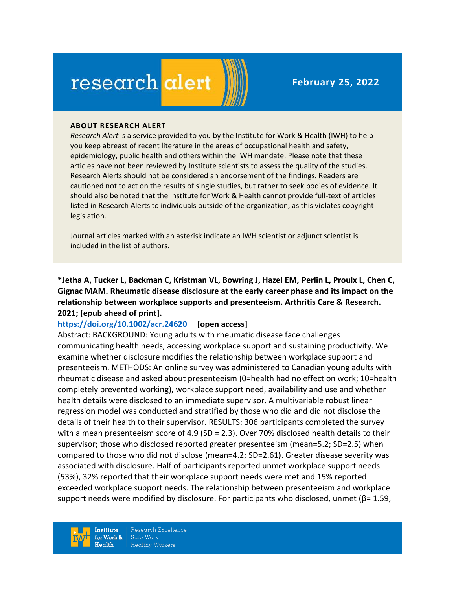# research alert

#### **ABOUT RESEARCH ALERT**

*Research Alert* is a service provided to you by the Institute for Work & Health (IWH) to help you keep abreast of recent literature in the areas of occupational health and safety, epidemiology, public health and others within the IWH mandate. Please note that these articles have not been reviewed by Institute scientists to assess the quality of the studies. Research Alerts should not be considered an endorsement of the findings. Readers are cautioned not to act on the results of single studies, but rather to seek bodies of evidence. It should also be noted that the Institute for Work & Health cannot provide full-text of articles listed in Research Alerts to individuals outside of the organization, as this violates copyright legislation.

Journal articles marked with an asterisk indicate an IWH scientist or adjunct scientist is included in the list of authors.

**\*Jetha A, Tucker L, Backman C, Kristman VL, Bowring J, Hazel EM, Perlin L, Proulx L, Chen C, Gignac MAM. Rheumatic disease disclosure at the early career phase and its impact on the relationship between workplace supports and presenteeism. Arthritis Care & Research. 2021; [epub ahead of print].**

#### **<https://doi.org/10.1002/acr.24620> [open access]**

Abstract: BACKGROUND: Young adults with rheumatic disease face challenges communicating health needs, accessing workplace support and sustaining productivity. We examine whether disclosure modifies the relationship between workplace support and presenteeism. METHODS: An online survey was administered to Canadian young adults with rheumatic disease and asked about presenteeism (0=health had no effect on work; 10=health completely prevented working), workplace support need, availability and use and whether health details were disclosed to an immediate supervisor. A multivariable robust linear regression model was conducted and stratified by those who did and did not disclose the details of their health to their supervisor. RESULTS: 306 participants completed the survey with a mean presenteeism score of 4.9 (SD = 2.3). Over 70% disclosed health details to their supervisor; those who disclosed reported greater presenteeism (mean=5.2; SD=2.5) when compared to those who did not disclose (mean=4.2; SD=2.61). Greater disease severity was associated with disclosure. Half of participants reported unmet workplace support needs (53%), 32% reported that their workplace support needs were met and 15% reported exceeded workplace support needs. The relationship between presenteeism and workplace support needs were modified by disclosure. For participants who disclosed, unmet ( $\beta$ = 1.59,

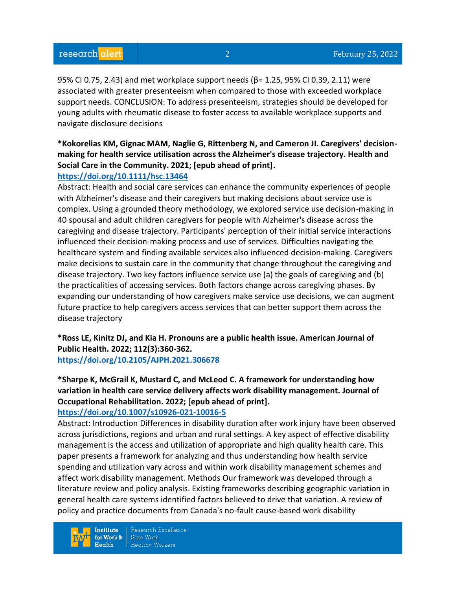95% CI 0.75, 2.43) and met workplace support needs (β= 1.25, 95% CI 0.39, 2.11) were associated with greater presenteeism when compared to those with exceeded workplace support needs. CONCLUSION: To address presenteeism, strategies should be developed for young adults with rheumatic disease to foster access to available workplace supports and navigate disclosure decisions

# **\*Kokorelias KM, Gignac MAM, Naglie G, Rittenberg N, and Cameron JI. Caregivers' decisionmaking for health service utilisation across the Alzheimer's disease trajectory. Health and Social Care in the Community. 2021; [epub ahead of print].**

## **<https://doi.org/10.1111/hsc.13464>**

Abstract: Health and social care services can enhance the community experiences of people with Alzheimer's disease and their caregivers but making decisions about service use is complex. Using a grounded theory methodology, we explored service use decision-making in 40 spousal and adult children caregivers for people with Alzheimer's disease across the caregiving and disease trajectory. Participants' perception of their initial service interactions influenced their decision-making process and use of services. Difficulties navigating the healthcare system and finding available services also influenced decision-making. Caregivers make decisions to sustain care in the community that change throughout the caregiving and disease trajectory. Two key factors influence service use (a) the goals of caregiving and (b) the practicalities of accessing services. Both factors change across caregiving phases. By expanding our understanding of how caregivers make service use decisions, we can augment future practice to help caregivers access services that can better support them across the disease trajectory

**\*Ross LE, Kinitz DJ, and Kia H. Pronouns are a public health issue. American Journal of Public Health. 2022; 112(3):360-362. <https://doi.org/10.2105/AJPH.2021.306678>**

**\*Sharpe K, McGrail K, Mustard C, and McLeod C. A framework for understanding how variation in health care service delivery affects work disability management. Journal of Occupational Rehabilitation. 2022; [epub ahead of print].**

## **<https://doi.org/10.1007/s10926-021-10016-5>**

Abstract: Introduction Differences in disability duration after work injury have been observed across jurisdictions, regions and urban and rural settings. A key aspect of effective disability management is the access and utilization of appropriate and high quality health care. This paper presents a framework for analyzing and thus understanding how health service spending and utilization vary across and within work disability management schemes and affect work disability management. Methods Our framework was developed through a literature review and policy analysis. Existing frameworks describing geographic variation in general health care systems identified factors believed to drive that variation. A review of policy and practice documents from Canada's no-fault cause-based work disability

**Institute** for Work &  $Heath$ 

Research Excellence Safe Work **Healthy Workers**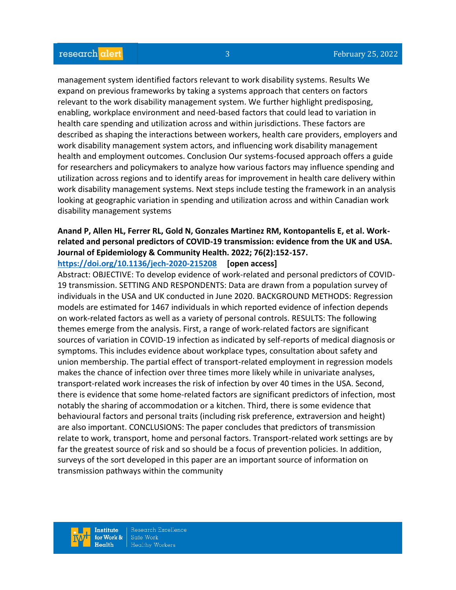management system identified factors relevant to work disability systems. Results We expand on previous frameworks by taking a systems approach that centers on factors relevant to the work disability management system. We further highlight predisposing, enabling, workplace environment and need-based factors that could lead to variation in health care spending and utilization across and within jurisdictions. These factors are described as shaping the interactions between workers, health care providers, employers and work disability management system actors, and influencing work disability management health and employment outcomes. Conclusion Our systems-focused approach offers a guide for researchers and policymakers to analyze how various factors may influence spending and utilization across regions and to identify areas for improvement in health care delivery within work disability management systems. Next steps include testing the framework in an analysis looking at geographic variation in spending and utilization across and within Canadian work disability management systems

# **Anand P, Allen HL, Ferrer RL, Gold N, Gonzales Martinez RM, Kontopantelis E, et al. Workrelated and personal predictors of COVID-19 transmission: evidence from the UK and USA. Journal of Epidemiology & Community Health. 2022; 76(2):152-157.**

#### **<https://doi.org/10.1136/jech-2020-215208> [open access]**

Abstract: OBJECTIVE: To develop evidence of work-related and personal predictors of COVID-19 transmission. SETTING AND RESPONDENTS: Data are drawn from a population survey of individuals in the USA and UK conducted in June 2020. BACKGROUND METHODS: Regression models are estimated for 1467 individuals in which reported evidence of infection depends on work-related factors as well as a variety of personal controls. RESULTS: The following themes emerge from the analysis. First, a range of work-related factors are significant sources of variation in COVID-19 infection as indicated by self-reports of medical diagnosis or symptoms. This includes evidence about workplace types, consultation about safety and union membership. The partial effect of transport-related employment in regression models makes the chance of infection over three times more likely while in univariate analyses, transport-related work increases the risk of infection by over 40 times in the USA. Second, there is evidence that some home-related factors are significant predictors of infection, most notably the sharing of accommodation or a kitchen. Third, there is some evidence that behavioural factors and personal traits (including risk preference, extraversion and height) are also important. CONCLUSIONS: The paper concludes that predictors of transmission relate to work, transport, home and personal factors. Transport-related work settings are by far the greatest source of risk and so should be a focus of prevention policies. In addition, surveys of the sort developed in this paper are an important source of information on transmission pathways within the community

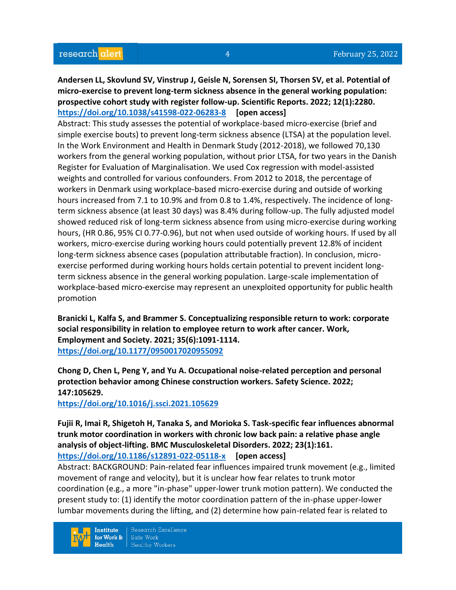**Andersen LL, Skovlund SV, Vinstrup J, Geisle N, Sorensen SI, Thorsen SV, et al. Potential of micro-exercise to prevent long-term sickness absence in the general working population: prospective cohort study with register follow-up. Scientific Reports. 2022; 12(1):2280. <https://doi.org/10.1038/s41598-022-06283-8> [open access]**

Abstract: This study assesses the potential of workplace-based micro-exercise (brief and simple exercise bouts) to prevent long-term sickness absence (LTSA) at the population level. In the Work Environment and Health in Denmark Study (2012-2018), we followed 70,130 workers from the general working population, without prior LTSA, for two years in the Danish Register for Evaluation of Marginalisation. We used Cox regression with model-assisted weights and controlled for various confounders. From 2012 to 2018, the percentage of workers in Denmark using workplace-based micro-exercise during and outside of working hours increased from 7.1 to 10.9% and from 0.8 to 1.4%, respectively. The incidence of longterm sickness absence (at least 30 days) was 8.4% during follow-up. The fully adjusted model showed reduced risk of long-term sickness absence from using micro-exercise during working hours, (HR 0.86, 95% CI 0.77-0.96), but not when used outside of working hours. If used by all workers, micro-exercise during working hours could potentially prevent 12.8% of incident long-term sickness absence cases (population attributable fraction). In conclusion, microexercise performed during working hours holds certain potential to prevent incident longterm sickness absence in the general working population. Large-scale implementation of workplace-based micro-exercise may represent an unexploited opportunity for public health promotion

**Branicki L, Kalfa S, and Brammer S. Conceptualizing responsible return to work: corporate social responsibility in relation to employee return to work after cancer. Work, Employment and Society. 2021; 35(6):1091-1114. <https://doi.org/10.1177/0950017020955092>** 

**Chong D, Chen L, Peng Y, and Yu A. Occupational noise-related perception and personal protection behavior among Chinese construction workers. Safety Science. 2022; 147:105629.**

**<https://doi.org/10.1016/j.ssci.2021.105629>** 

**Fujii R, Imai R, Shigetoh H, Tanaka S, and Morioka S. Task-specific fear influences abnormal trunk motor coordination in workers with chronic low back pain: a relative phase angle analysis of object-lifting. BMC Musculoskeletal Disorders. 2022; 23(1):161. <https://doi.org/10.1186/s12891-022-05118-x> [open access]**

Abstract: BACKGROUND: Pain-related fear influences impaired trunk movement (e.g., limited movement of range and velocity), but it is unclear how fear relates to trunk motor coordination (e.g., a more "in-phase" upper-lower trunk motion pattern). We conducted the present study to: (1) identify the motor coordination pattern of the in-phase upper-lower lumbar movements during the lifting, and (2) determine how pain-related fear is related to

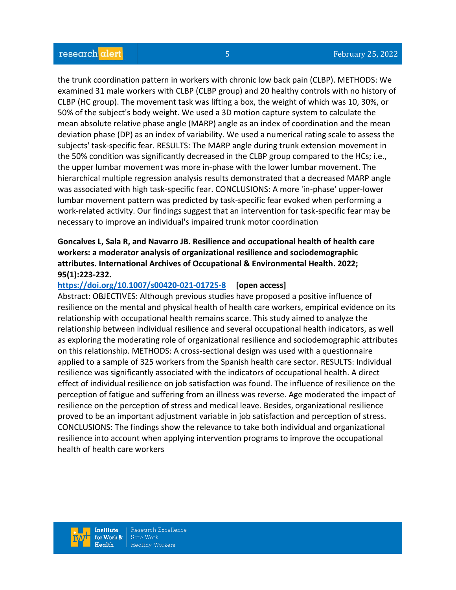the trunk coordination pattern in workers with chronic low back pain (CLBP). METHODS: We examined 31 male workers with CLBP (CLBP group) and 20 healthy controls with no history of CLBP (HC group). The movement task was lifting a box, the weight of which was 10, 30%, or 50% of the subject's body weight. We used a 3D motion capture system to calculate the mean absolute relative phase angle (MARP) angle as an index of coordination and the mean deviation phase (DP) as an index of variability. We used a numerical rating scale to assess the subjects' task-specific fear. RESULTS: The MARP angle during trunk extension movement in the 50% condition was significantly decreased in the CLBP group compared to the HCs; i.e., the upper lumbar movement was more in-phase with the lower lumbar movement. The hierarchical multiple regression analysis results demonstrated that a decreased MARP angle was associated with high task-specific fear. CONCLUSIONS: A more 'in-phase' upper-lower lumbar movement pattern was predicted by task-specific fear evoked when performing a work-related activity. Our findings suggest that an intervention for task-specific fear may be necessary to improve an individual's impaired trunk motor coordination

## **Goncalves L, Sala R, and Navarro JB. Resilience and occupational health of health care workers: a moderator analysis of organizational resilience and sociodemographic attributes. International Archives of Occupational & Environmental Health. 2022; 95(1):223-232.**

#### **<https://doi.org/10.1007/s00420-021-01725-8> [open access]**

Abstract: OBJECTIVES: Although previous studies have proposed a positive influence of resilience on the mental and physical health of health care workers, empirical evidence on its relationship with occupational health remains scarce. This study aimed to analyze the relationship between individual resilience and several occupational health indicators, as well as exploring the moderating role of organizational resilience and sociodemographic attributes on this relationship. METHODS: A cross-sectional design was used with a questionnaire applied to a sample of 325 workers from the Spanish health care sector. RESULTS: Individual resilience was significantly associated with the indicators of occupational health. A direct effect of individual resilience on job satisfaction was found. The influence of resilience on the perception of fatigue and suffering from an illness was reverse. Age moderated the impact of resilience on the perception of stress and medical leave. Besides, organizational resilience proved to be an important adjustment variable in job satisfaction and perception of stress. CONCLUSIONS: The findings show the relevance to take both individual and organizational resilience into account when applying intervention programs to improve the occupational health of health care workers

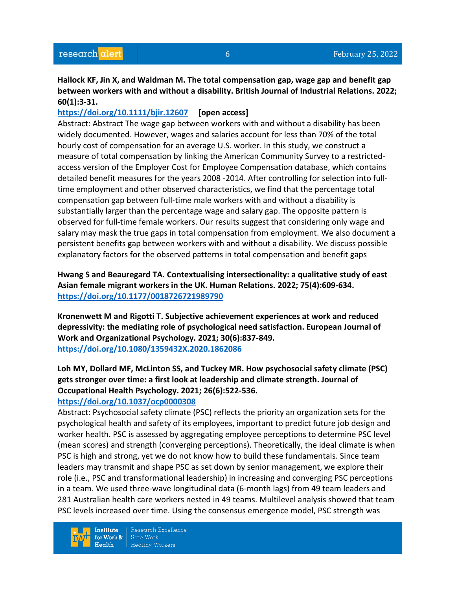# **Hallock KF, Jin X, and Waldman M. The total compensation gap, wage gap and benefit gap between workers with and without a disability. British Journal of Industrial Relations. 2022; 60(1):3-31.**

## **<https://doi.org/10.1111/bjir.12607> [open access]**

Abstract: Abstract The wage gap between workers with and without a disability has been widely documented. However, wages and salaries account for less than 70% of the total hourly cost of compensation for an average U.S. worker. In this study, we construct a measure of total compensation by linking the American Community Survey to a restrictedaccess version of the Employer Cost for Employee Compensation database, which contains detailed benefit measures for the years 2008 -2014. After controlling for selection into fulltime employment and other observed characteristics, we find that the percentage total compensation gap between full-time male workers with and without a disability is substantially larger than the percentage wage and salary gap. The opposite pattern is observed for full-time female workers. Our results suggest that considering only wage and salary may mask the true gaps in total compensation from employment. We also document a persistent benefits gap between workers with and without a disability. We discuss possible explanatory factors for the observed patterns in total compensation and benefit gaps

# **Hwang S and Beauregard TA. Contextualising intersectionality: a qualitative study of east Asian female migrant workers in the UK. Human Relations. 2022; 75(4):609-634. <https://doi.org/10.1177/0018726721989790>**

**Kronenwett M and Rigotti T. Subjective achievement experiences at work and reduced depressivity: the mediating role of psychological need satisfaction. European Journal of Work and Organizational Psychology. 2021; 30(6):837-849. <https://doi.org/10.1080/1359432X.2020.1862086>** 

# **Loh MY, Dollard MF, McLinton SS, and Tuckey MR. How psychosocial safety climate (PSC) gets stronger over time: a first look at leadership and climate strength. Journal of Occupational Health Psychology. 2021; 26(6):522-536.**

## **<https://doi.org/10.1037/ocp0000308>**

Abstract: Psychosocial safety climate (PSC) reflects the priority an organization sets for the psychological health and safety of its employees, important to predict future job design and worker health. PSC is assessed by aggregating employee perceptions to determine PSC level (mean scores) and strength (converging perceptions). Theoretically, the ideal climate is when PSC is high and strong, yet we do not know how to build these fundamentals. Since team leaders may transmit and shape PSC as set down by senior management, we explore their role (i.e., PSC and transformational leadership) in increasing and converging PSC perceptions in a team. We used three-wave longitudinal data (6-month lags) from 49 team leaders and 281 Australian health care workers nested in 49 teams. Multilevel analysis showed that team PSC levels increased over time. Using the consensus emergence model, PSC strength was

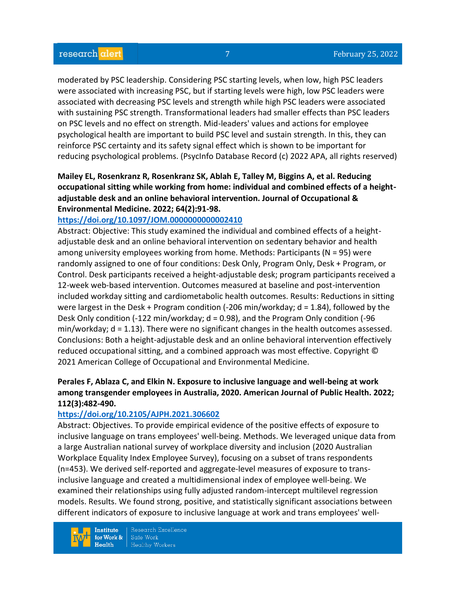moderated by PSC leadership. Considering PSC starting levels, when low, high PSC leaders were associated with increasing PSC, but if starting levels were high, low PSC leaders were associated with decreasing PSC levels and strength while high PSC leaders were associated with sustaining PSC strength. Transformational leaders had smaller effects than PSC leaders on PSC levels and no effect on strength. Mid-leaders' values and actions for employee psychological health are important to build PSC level and sustain strength. In this, they can reinforce PSC certainty and its safety signal effect which is shown to be important for reducing psychological problems. (PsycInfo Database Record (c) 2022 APA, all rights reserved)

# **Mailey EL, Rosenkranz R, Rosenkranz SK, Ablah E, Talley M, Biggins A, et al. Reducing occupational sitting while working from home: individual and combined effects of a heightadjustable desk and an online behavioral intervention. Journal of Occupational & Environmental Medicine. 2022; 64(2):91-98.**

#### **<https://doi.org/10.1097/JOM.0000000000002410>**

Abstract: Objective: This study examined the individual and combined effects of a heightadjustable desk and an online behavioral intervention on sedentary behavior and health among university employees working from home. Methods: Participants (N = 95) were randomly assigned to one of four conditions: Desk Only, Program Only, Desk + Program, or Control. Desk participants received a height-adjustable desk; program participants received a 12-week web-based intervention. Outcomes measured at baseline and post-intervention included workday sitting and cardiometabolic health outcomes. Results: Reductions in sitting were largest in the Desk + Program condition (-206 min/workday; d = 1.84), followed by the Desk Only condition (-122 min/workday; d = 0.98), and the Program Only condition (-96 min/workday; d = 1.13). There were no significant changes in the health outcomes assessed. Conclusions: Both a height-adjustable desk and an online behavioral intervention effectively reduced occupational sitting, and a combined approach was most effective. Copyright © 2021 American College of Occupational and Environmental Medicine.

# **Perales F, Ablaza C, and Elkin N. Exposure to inclusive language and well-being at work among transgender employees in Australia, 2020. American Journal of Public Health. 2022; 112(3):482-490.**

#### **<https://doi.org/10.2105/AJPH.2021.306602>**

Abstract: Objectives. To provide empirical evidence of the positive effects of exposure to inclusive language on trans employees' well-being. Methods. We leveraged unique data from a large Australian national survey of workplace diversity and inclusion (2020 Australian Workplace Equality Index Employee Survey), focusing on a subset of trans respondents (n=453). We derived self-reported and aggregate-level measures of exposure to transinclusive language and created a multidimensional index of employee well-being. We examined their relationships using fully adjusted random-intercept multilevel regression models. Results. We found strong, positive, and statistically significant associations between different indicators of exposure to inclusive language at work and trans employees' well-

**Institute** for Work &  $Health$ 

Research Excellence Safe Work **Healthy Workers**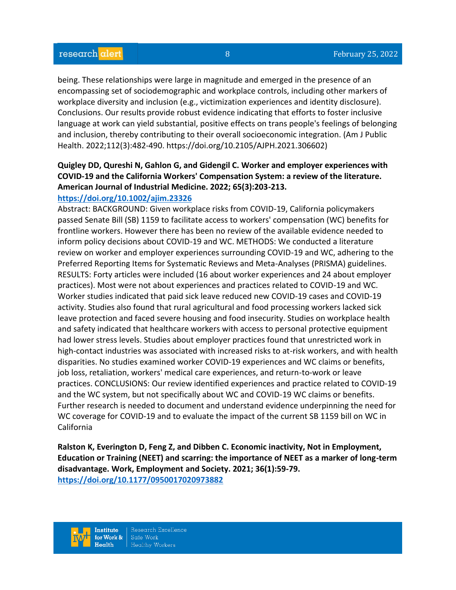being. These relationships were large in magnitude and emerged in the presence of an encompassing set of sociodemographic and workplace controls, including other markers of workplace diversity and inclusion (e.g., victimization experiences and identity disclosure). Conclusions. Our results provide robust evidence indicating that efforts to foster inclusive language at work can yield substantial, positive effects on trans people's feelings of belonging and inclusion, thereby contributing to their overall socioeconomic integration. (Am J Public Health. 2022;112(3):482-490. https://doi.org/10.2105/AJPH.2021.306602)

# **Quigley DD, Qureshi N, Gahlon G, and Gidengil C. Worker and employer experiences with COVID-19 and the California Workers' Compensation System: a review of the literature. American Journal of Industrial Medicine. 2022; 65(3):203-213.**

#### **<https://doi.org/10.1002/ajim.23326>**

Abstract: BACKGROUND: Given workplace risks from COVID-19, California policymakers passed Senate Bill (SB) 1159 to facilitate access to workers' compensation (WC) benefits for frontline workers. However there has been no review of the available evidence needed to inform policy decisions about COVID-19 and WC. METHODS: We conducted a literature review on worker and employer experiences surrounding COVID-19 and WC, adhering to the Preferred Reporting Items for Systematic Reviews and Meta-Analyses (PRISMA) guidelines. RESULTS: Forty articles were included (16 about worker experiences and 24 about employer practices). Most were not about experiences and practices related to COVID-19 and WC. Worker studies indicated that paid sick leave reduced new COVID-19 cases and COVID-19 activity. Studies also found that rural agricultural and food processing workers lacked sick leave protection and faced severe housing and food insecurity. Studies on workplace health and safety indicated that healthcare workers with access to personal protective equipment had lower stress levels. Studies about employer practices found that unrestricted work in high-contact industries was associated with increased risks to at-risk workers, and with health disparities. No studies examined worker COVID-19 experiences and WC claims or benefits, job loss, retaliation, workers' medical care experiences, and return-to-work or leave practices. CONCLUSIONS: Our review identified experiences and practice related to COVID-19 and the WC system, but not specifically about WC and COVID-19 WC claims or benefits. Further research is needed to document and understand evidence underpinning the need for WC coverage for COVID-19 and to evaluate the impact of the current SB 1159 bill on WC in California

**Ralston K, Everington D, Feng Z, and Dibben C. Economic inactivity, Not in Employment, Education or Training (NEET) and scarring: the importance of NEET as a marker of long-term disadvantage. Work, Employment and Society. 2021; 36(1):59-79. <https://doi.org/10.1177/0950017020973882>**